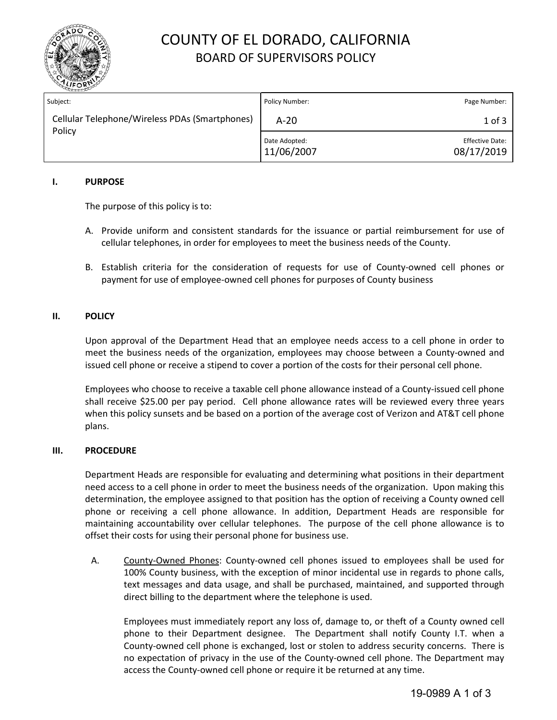

## COUNTY OF EL DORADO, CALIFORNIA BOARD OF SUPERVISORS POLICY

| Subject:                                                 | Policy Number:              | Page Number:                         |
|----------------------------------------------------------|-----------------------------|--------------------------------------|
| Cellular Telephone/Wireless PDAs (Smartphones)<br>Policy | $A-20$                      | $1$ of $3$                           |
|                                                          | Date Adopted:<br>11/06/2007 | <b>Effective Date:</b><br>08/17/2019 |

## **I. PURPOSE**

The purpose of this policy is to:

- A. Provide uniform and consistent standards for the issuance or partial reimbursement for use of cellular telephones, in order for employees to meet the business needs of the County.
- B. Establish criteria for the consideration of requests for use of County-owned cell phones or payment for use of employee-owned cell phones for purposes of County business

### **II. POLICY**

Upon approval of the Department Head that an employee needs access to a cell phone in order to meet the business needs of the organization, employees may choose between a County-owned and issued cell phone or receive a stipend to cover a portion of the costs for their personal cell phone.

Employees who choose to receive a taxable cell phone allowance instead of a County-issued cell phone shall receive \$25.00 per pay period. Cell phone allowance rates will be reviewed every three years when this policy sunsets and be based on a portion of the average cost of Verizon and AT&T cell phone plans.

### **III. PROCEDURE**

Department Heads are responsible for evaluating and determining what positions in their department need access to a cell phone in order to meet the business needs of the organization. Upon making this determination, the employee assigned to that position has the option of receiving a County owned cell phone or receiving a cell phone allowance. In addition, Department Heads are responsible for maintaining accountability over cellular telephones. The purpose of the cell phone allowance is to offset their costs for using their personal phone for business use.

A. County-Owned Phones: County-owned cell phones issued to employees shall be used for 100% County business, with the exception of minor incidental use in regards to phone calls, text messages and data usage, and shall be purchased, maintained, and supported through direct billing to the department where the telephone is used.

Employees must immediately report any loss of, damage to, or theft of a County owned cell phone to their Department designee. The Department shall notify County I.T. when a County-owned cell phone is exchanged, lost or stolen to address security concerns. There is no expectation of privacy in the use of the County-owned cell phone. The Department may access the County-owned cell phone or require it be returned at any time.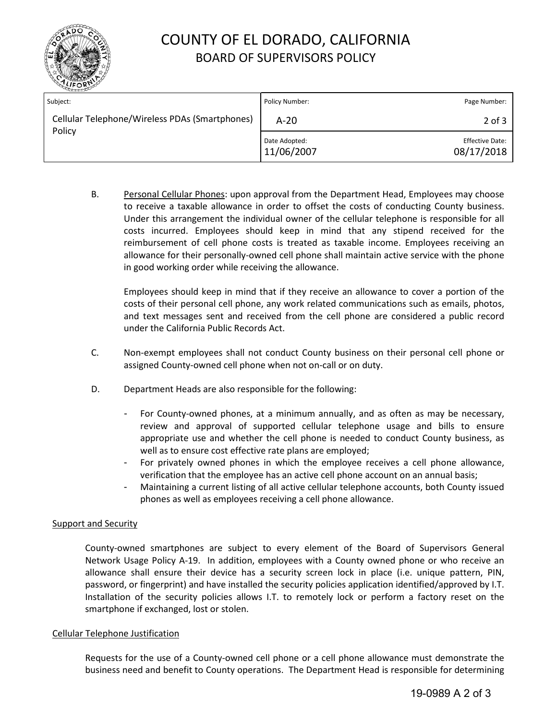

# COUNTY OF EL DORADO, CALIFORNIA BOARD OF SUPERVISORS POLICY

| Subject:                                                 | Policy Number:              | Page Number:                         |
|----------------------------------------------------------|-----------------------------|--------------------------------------|
| Cellular Telephone/Wireless PDAs (Smartphones)<br>Policy | $A-20$                      | $2$ of $3$                           |
|                                                          | Date Adopted:<br>11/06/2007 | <b>Effective Date:</b><br>08/17/2018 |

B. Personal Cellular Phones: upon approval from the Department Head, Employees may choose to receive a taxable allowance in order to offset the costs of conducting County business. Under this arrangement the individual owner of the cellular telephone is responsible for all costs incurred. Employees should keep in mind that any stipend received for the reimbursement of cell phone costs is treated as taxable income. Employees receiving an allowance for their personally-owned cell phone shall maintain active service with the phone in good working order while receiving the allowance.

Employees should keep in mind that if they receive an allowance to cover a portion of the costs of their personal cell phone, any work related communications such as emails, photos, and text messages sent and received from the cell phone are considered a public record under the California Public Records Act.

- C. Non-exempt employees shall not conduct County business on their personal cell phone or assigned County-owned cell phone when not on-call or on duty.
- D. Department Heads are also responsible for the following:
	- For County-owned phones, at a minimum annually, and as often as may be necessary, review and approval of supported cellular telephone usage and bills to ensure appropriate use and whether the cell phone is needed to conduct County business, as well as to ensure cost effective rate plans are employed;
	- For privately owned phones in which the employee receives a cell phone allowance, verification that the employee has an active cell phone account on an annual basis;
	- Maintaining a current listing of all active cellular telephone accounts, both County issued phones as well as employees receiving a cell phone allowance.

## Support and Security

County-owned smartphones are subject to every element of the Board of Supervisors General Network Usage Policy A-19. In addition, employees with a County owned phone or who receive an allowance shall ensure their device has a security screen lock in place (i.e. unique pattern, PIN, password, or fingerprint) and have installed the security policies application identified/approved by I.T. Installation of the security policies allows I.T. to remotely lock or perform a factory reset on the smartphone if exchanged, lost or stolen.

## Cellular Telephone Justification

Requests for the use of a County-owned cell phone or a cell phone allowance must demonstrate the business need and benefit to County operations. The Department Head is responsible for determining